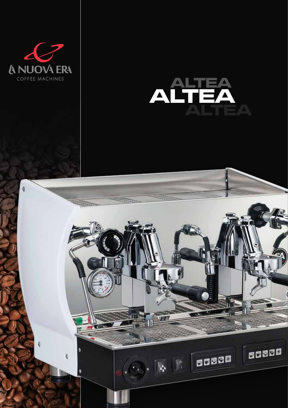